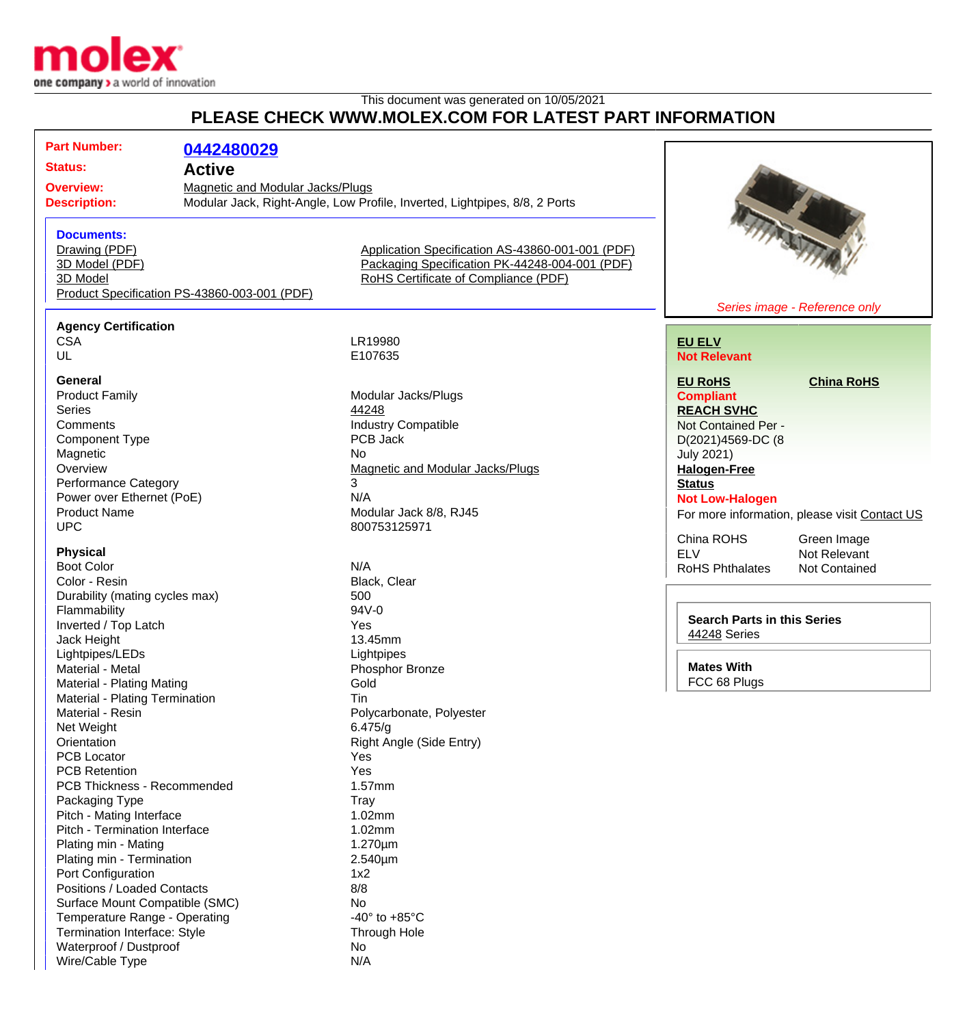

Waterproof / Dustproof No Wire/Cable Type N/A

## This document was generated on 10/05/2021 **PLEASE CHECK WWW.MOLEX.COM FOR LATEST PART INFORMATION**

|                                |                                              | PLEASE CHECK WWW.MOLEX.COM FOR LATEST PART INFORMATION                     |                                    |                                               |
|--------------------------------|----------------------------------------------|----------------------------------------------------------------------------|------------------------------------|-----------------------------------------------|
| <b>Part Number:</b>            | 0442480029                                   |                                                                            |                                    |                                               |
| Status:                        | <b>Active</b>                                |                                                                            |                                    |                                               |
| <b>Overview:</b>               | <b>Magnetic and Modular Jacks/Plugs</b>      |                                                                            |                                    |                                               |
| <b>Description:</b>            |                                              | Modular Jack, Right-Angle, Low Profile, Inverted, Lightpipes, 8/8, 2 Ports |                                    |                                               |
| <b>Documents:</b>              |                                              |                                                                            |                                    | <b>TITARITTI</b>                              |
| Drawing (PDF)                  |                                              | Application Specification AS-43860-001-001 (PDF)                           |                                    |                                               |
| 3D Model (PDF)                 |                                              | Packaging Specification PK-44248-004-001 (PDF)                             |                                    |                                               |
| 3D Model                       |                                              | RoHS Certificate of Compliance (PDF)                                       |                                    |                                               |
|                                | Product Specification PS-43860-003-001 (PDF) |                                                                            |                                    |                                               |
| <b>Agency Certification</b>    |                                              |                                                                            |                                    | Series image - Reference only                 |
| <b>CSA</b>                     |                                              | LR19980                                                                    | <b>EU ELV</b>                      |                                               |
| UL                             |                                              | E107635                                                                    | <b>Not Relevant</b>                |                                               |
|                                |                                              |                                                                            |                                    |                                               |
| General                        |                                              |                                                                            | <b>EU RoHS</b>                     | <b>China RoHS</b>                             |
| <b>Product Family</b>          |                                              | Modular Jacks/Plugs                                                        | <b>Compliant</b>                   |                                               |
| <b>Series</b>                  |                                              | 44248                                                                      | <b>REACH SVHC</b>                  |                                               |
| Comments                       |                                              | <b>Industry Compatible</b>                                                 | Not Contained Per -                |                                               |
| <b>Component Type</b>          |                                              | PCB Jack                                                                   | D(2021)4569-DC (8                  |                                               |
| Magnetic                       |                                              | <b>No</b>                                                                  | <b>July 2021)</b>                  |                                               |
| Overview                       |                                              | <b>Magnetic and Modular Jacks/Plugs</b>                                    | <b>Halogen-Free</b>                |                                               |
| <b>Performance Category</b>    |                                              | 3                                                                          | <b>Status</b>                      |                                               |
| Power over Ethernet (PoE)      |                                              | N/A                                                                        | <b>Not Low-Halogen</b>             |                                               |
| <b>Product Name</b>            |                                              | Modular Jack 8/8, RJ45                                                     |                                    | For more information, please visit Contact US |
| <b>UPC</b>                     |                                              | 800753125971                                                               |                                    |                                               |
| <b>Physical</b>                |                                              |                                                                            | China ROHS<br><b>ELV</b>           | Green Image<br>Not Relevant                   |
| <b>Boot Color</b>              |                                              | N/A                                                                        | <b>RoHS Phthalates</b>             | <b>Not Contained</b>                          |
| Color - Resin                  |                                              | Black, Clear                                                               |                                    |                                               |
| Durability (mating cycles max) |                                              | 500                                                                        |                                    |                                               |
| Flammability                   |                                              | 94V-0                                                                      |                                    |                                               |
| Inverted / Top Latch           |                                              | Yes                                                                        | <b>Search Parts in this Series</b> |                                               |
| Jack Height                    |                                              | 13.45mm                                                                    | 44248 Series                       |                                               |
| Lightpipes/LEDs                |                                              | Lightpipes                                                                 |                                    |                                               |
| Material - Metal               |                                              | Phosphor Bronze                                                            | <b>Mates With</b>                  |                                               |
| Material - Plating Mating      |                                              | Gold                                                                       | FCC 68 Plugs                       |                                               |
| Material - Plating Termination |                                              | Tin                                                                        |                                    |                                               |
| Material - Resin               |                                              | Polycarbonate, Polyester                                                   |                                    |                                               |
| Net Weight                     |                                              | 6.475/q                                                                    |                                    |                                               |
| Orientation                    |                                              | Right Angle (Side Entry)                                                   |                                    |                                               |
| <b>PCB Locator</b>             |                                              | Yes                                                                        |                                    |                                               |
| <b>PCB Retention</b>           |                                              | Yes                                                                        |                                    |                                               |
| PCB Thickness - Recommended    |                                              | 1.57mm                                                                     |                                    |                                               |
| Packaging Type                 |                                              | <b>Tray</b>                                                                |                                    |                                               |
| Pitch - Mating Interface       |                                              | 1.02mm                                                                     |                                    |                                               |
| Pitch - Termination Interface  |                                              | 1.02mm                                                                     |                                    |                                               |
| Plating min - Mating           |                                              | $1.270 \mu m$                                                              |                                    |                                               |
| Plating min - Termination      |                                              | $2.540 \mu m$                                                              |                                    |                                               |
| Port Configuration             |                                              | 1x2                                                                        |                                    |                                               |
| Positions / Loaded Contacts    |                                              | 8/8                                                                        |                                    |                                               |
| Surface Mount Compatible (SMC) |                                              | No                                                                         |                                    |                                               |
| Temperature Range - Operating  |                                              | -40 $\degree$ to +85 $\degree$ C                                           |                                    |                                               |
| Termination Interface: Style   |                                              | Through Hole                                                               |                                    |                                               |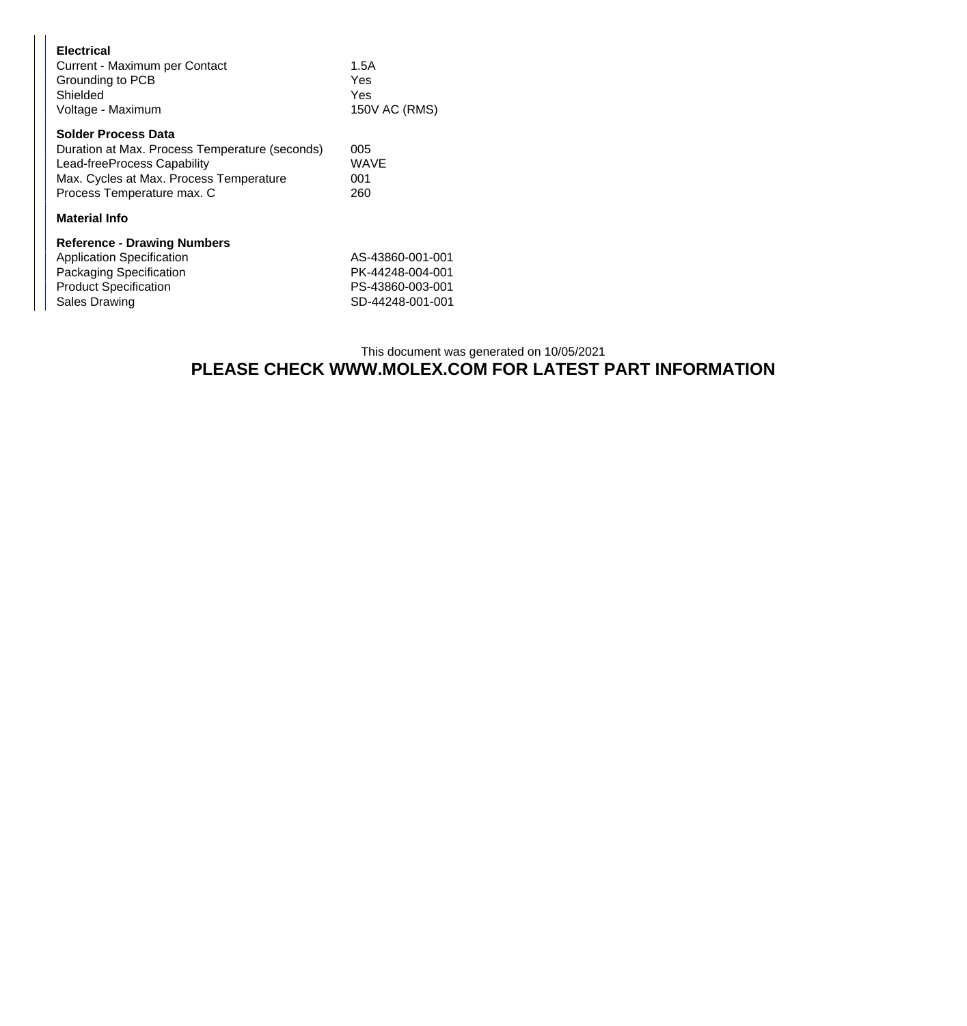| <b>Electrical</b><br>Current - Maximum per Contact<br>Grounding to PCB<br>Shielded<br>Voltage - Maximum                                                                              | 1.5A<br>Yes<br>Yes<br>150V AC (RMS)                                          |  |
|--------------------------------------------------------------------------------------------------------------------------------------------------------------------------------------|------------------------------------------------------------------------------|--|
| <b>Solder Process Data</b><br>Duration at Max. Process Temperature (seconds)<br>Lead-freeProcess Capability<br>Max. Cycles at Max. Process Temperature<br>Process Temperature max. C | 005<br>WAVE<br>001<br>260                                                    |  |
| <b>Material Info</b>                                                                                                                                                                 |                                                                              |  |
| <b>Reference - Drawing Numbers</b><br><b>Application Specification</b><br>Packaging Specification<br><b>Product Specification</b><br><b>Sales Drawing</b>                            | AS-43860-001-001<br>PK-44248-004-001<br>PS-43860-003-001<br>SD-44248-001-001 |  |

## This document was generated on 10/05/2021 **PLEASE CHECK WWW.MOLEX.COM FOR LATEST PART INFORMATION**